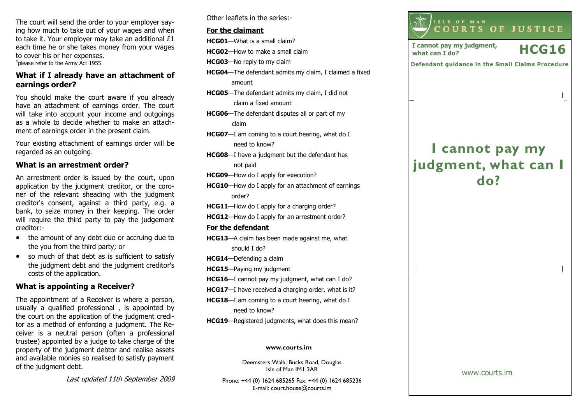The court will send the order to your employer saying how much to take out of your wages and when to take it. Your employer may take an additional £1 each time he or she takes money from your wages to cover his or her expenses. <sup>1</sup> please refer to the Army Act 1955

## What if I already have an attachment of earnings order?

You should make the court aware if you already have an attachment of earnings order. The court will take into account your income and outgoings as a whole to decide whether to make an attachment of earnings order in the present claim.

Your existing attachment of earnings order will be regarded as an outgoing.

#### What is an arrestment order?

An arrestment order is issued by the court, upon application by the judgment creditor, or the coroner of the relevant sheading with the judgment creditor's consent, against a third party, e.g. a bank, to seize money in their keeping. The order will require the third party to pay the judgement creditor:-

- the amount of any debt due or accruing due to the you from the third party; or
- so much of that debt as is sufficient to satisfy the judgment debt and the judgment creditor's costs of the application.

#### What is appointing a Receiver?

The appointment of a Receiver is where a person, usually a qualified professional , is appointed by the court on the application of the judgment creditor as a method of enforcing a judgment. The Receiver is a neutral person (often a professional trustee) appointed by a judge to take charge of the property of the judgment debtor and realise assets and available monies so realised to satisfy paymentof the judgment debt.

Last updated 11th September 2009

Other leaflets in the series:-

#### For the claimant

HCG01—What is a small claim?

- HCG02—How to make a small claim
- **HCG03--No reply to my claim**
- HCG04—The defendant admits my claim, I claimed a fixed amount
- HCG05—The defendant admits my claim, I did not claim a fixed amount
- HCG06—The defendant disputes all or part of my claim
- HCG07-I am coming to a court hearing, what do I need to know?
- HCG08—I have a judgment but the defendant has not paid

HCG09-How do I apply for execution?

HCG10—How do I apply for an attachment of earnings order?

HCG11—How do I apply for a charging order?

HCG12—How do I apply for an arrestment order?

#### For the defendant

HCG13—A claim has been made against me, what should I do?

HCG14—Defending a claim

HCG15—Paying my judgment

HCG16—I cannot pay my judgment, what can I do?

- HCG17-I have received a charging order, what is it?
- HCG18—I am coming to a court hearing, what do I need to know?
- HCG19—Registered judgments, what does this mean?

#### www.courts.im

Deemsters Walk, Bucks Road, Douglas Isle of Man IM1 3AR

Phone: +44 (0) 1624 685265 Fax: +44 (0) 1624 685236E-mail: court.house@courts.im



www.courts.im